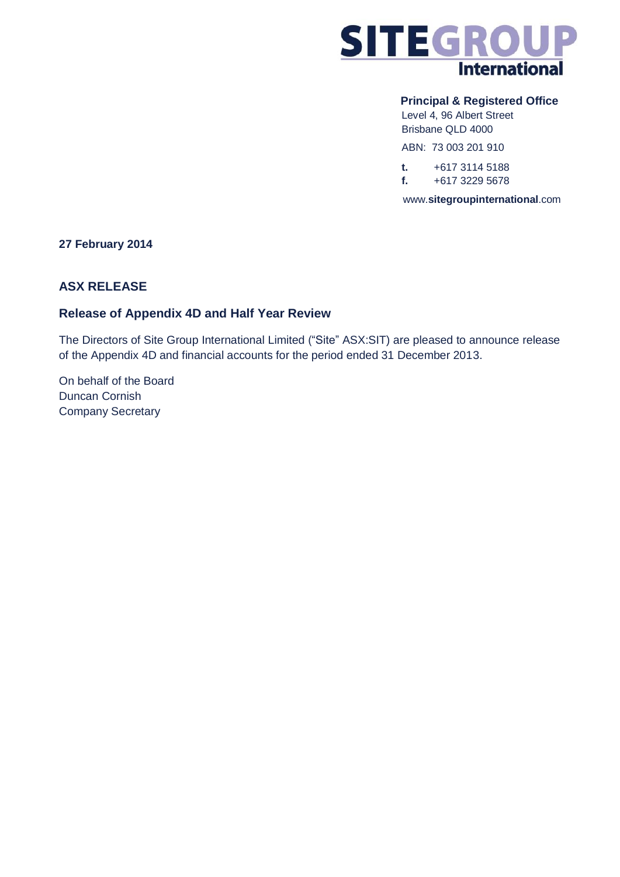

## **Principal & Registered Office**

Level 4, 96 Albert Street Brisbane QLD 4000

ABN: 73 003 201 910

**t.** +617 3114 5188 **f.** +617 3229 5678

www.**sitegroupinternational**.com

## **27 February 2014**

## **ASX RELEASE**

## **Release of Appendix 4D and Half Year Review**

The Directors of Site Group International Limited ("Site" ASX:SIT) are pleased to announce release of the Appendix 4D and financial accounts for the period ended 31 December 2013.

On behalf of the Board Duncan Cornish Company Secretary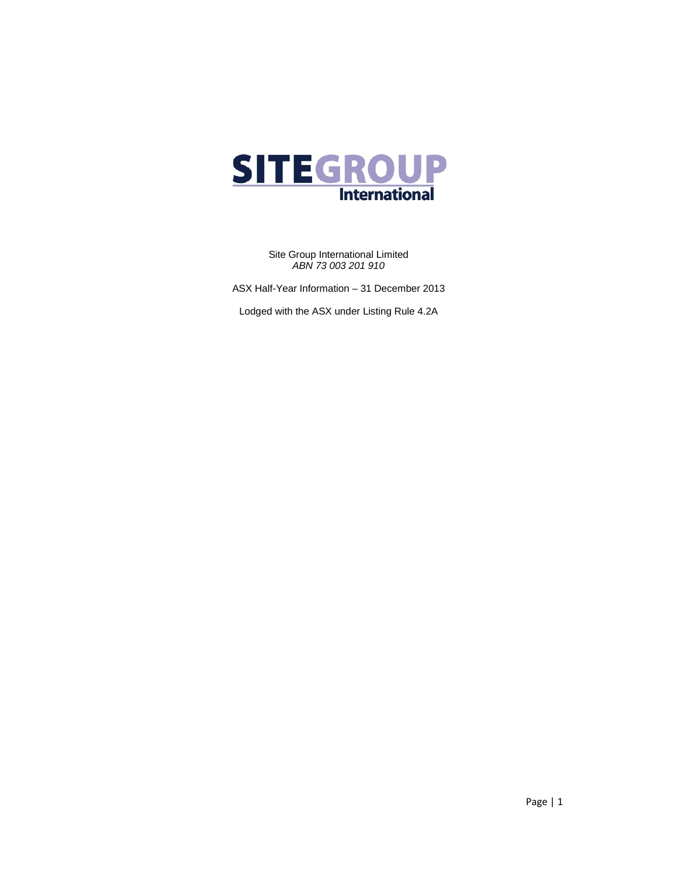

Site Group International Limited *ABN 73 003 201 910*

ASX Half-Year Information – 31 December 2013

Lodged with the ASX under Listing Rule 4.2A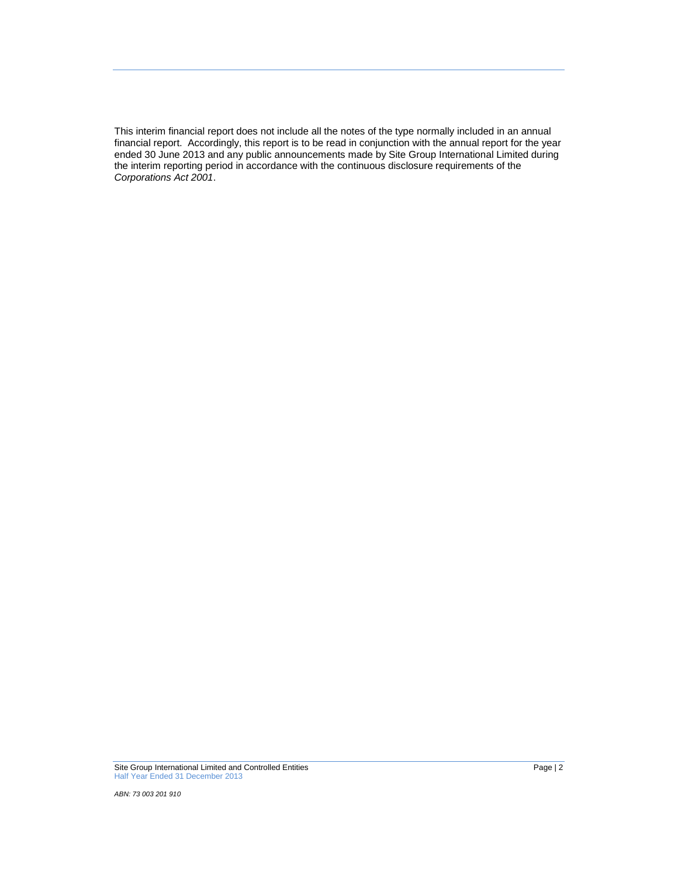This interim financial report does not include all the notes of the type normally included in an annual financial report. Accordingly, this report is to be read in conjunction with the annual report for the year ended 30 June 2013 and any public announcements made by Site Group International Limited during the interim reporting period in accordance with the continuous disclosure requirements of the *Corporations Act 2001*.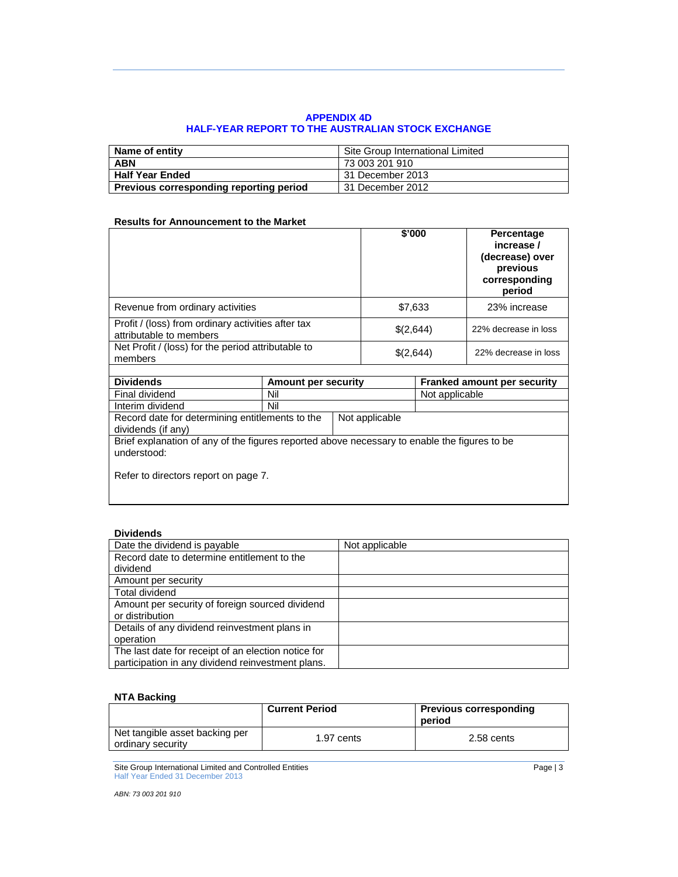## **APPENDIX 4D HALF-YEAR REPORT TO THE AUSTRALIAN STOCK EXCHANGE**

| Name of entity                          | Site Group International Limited |
|-----------------------------------------|----------------------------------|
| <b>ABN</b>                              | 73 003 201 910                   |
| <b>Half Year Ended</b>                  | 31 December 2013                 |
| Previous corresponding reporting period | 31 December 2012                 |

## **Results for Announcement to the Market**

|                                                                                                             |                            |           | \$'000         |                      | Percentage<br>increase /<br>(decrease) over<br>previous<br>corresponding<br>period |
|-------------------------------------------------------------------------------------------------------------|----------------------------|-----------|----------------|----------------------|------------------------------------------------------------------------------------|
| Revenue from ordinary activities                                                                            |                            |           | \$7,633        |                      | 23% increase                                                                       |
| Profit / (loss) from ordinary activities after tax<br>attributable to members                               |                            |           | \$(2,644)      |                      | 22% decrease in loss                                                               |
| Net Profit / (loss) for the period attributable to<br>members                                               |                            | \$(2,644) |                | 22% decrease in loss |                                                                                    |
|                                                                                                             |                            |           |                |                      |                                                                                    |
| <b>Dividends</b>                                                                                            | <b>Amount per security</b> |           |                |                      | <b>Franked amount per security</b>                                                 |
| Final dividend                                                                                              | Nil                        |           |                | Not applicable       |                                                                                    |
| Interim dividend                                                                                            | Nil                        |           |                |                      |                                                                                    |
| Record date for determining entitlements to the<br>dividends (if any)                                       |                            |           | Not applicable |                      |                                                                                    |
| Brief explanation of any of the figures reported above necessary to enable the figures to be<br>understood: |                            |           |                |                      |                                                                                    |
| Refer to directors report on page 7.                                                                        |                            |           |                |                      |                                                                                    |

## **Dividends**

| Date the dividend is payable                        | Not applicable |
|-----------------------------------------------------|----------------|
| Record date to determine entitlement to the         |                |
| dividend                                            |                |
| Amount per security                                 |                |
| Total dividend                                      |                |
| Amount per security of foreign sourced dividend     |                |
| or distribution                                     |                |
| Details of any dividend reinvestment plans in       |                |
| operation                                           |                |
| The last date for receipt of an election notice for |                |
| participation in any dividend reinvestment plans.   |                |

## **NTA Backing**

|                                                     | <b>Current Period</b> | <b>Previous corresponding</b><br>period |
|-----------------------------------------------------|-----------------------|-----------------------------------------|
| Net tangible asset backing per<br>ordinary security | 1.97 cents            | $2.58$ cents                            |

Site Group International Limited and Controlled Entities **Page 13** According to the Page 13 According to the Page 13 Half Year Ended 31 December 2013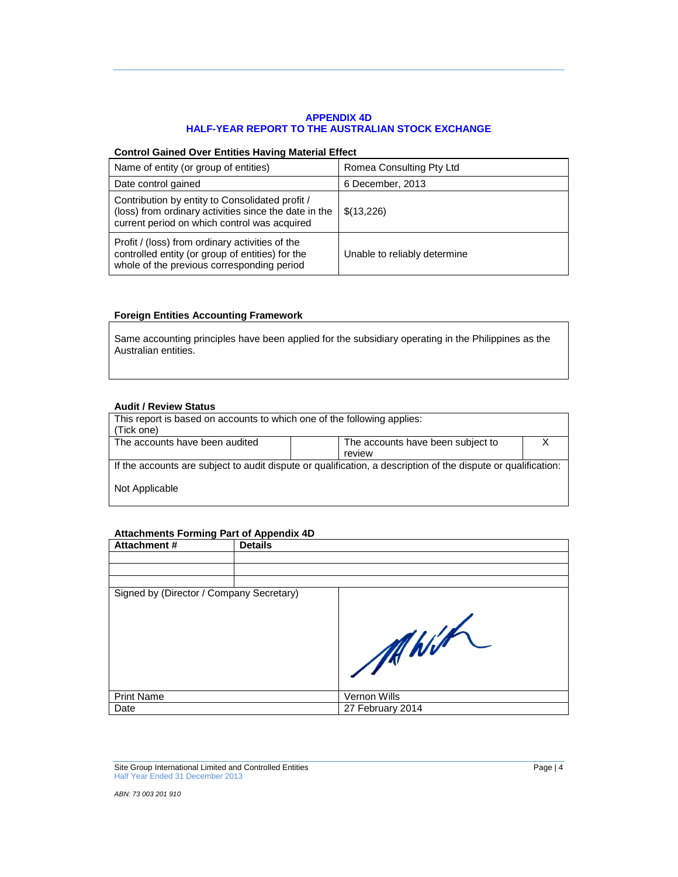## **APPENDIX 4D HALF-YEAR REPORT TO THE AUSTRALIAN STOCK EXCHANGE**

### **Control Gained Over Entities Having Material Effect**

| Name of entity (or group of entities)                                                                                                                    | Romea Consulting Pty Ltd     |
|----------------------------------------------------------------------------------------------------------------------------------------------------------|------------------------------|
| Date control gained                                                                                                                                      | 6 December, 2013             |
| Contribution by entity to Consolidated profit /<br>(loss) from ordinary activities since the date in the<br>current period on which control was acquired | \$(13,226)                   |
| Profit / (loss) from ordinary activities of the<br>controlled entity (or group of entities) for the<br>whole of the previous corresponding period        | Unable to reliably determine |

## **Foreign Entities Accounting Framework**

Same accounting principles have been applied for the subsidiary operating in the Philippines as the Australian entities.

### **Audit / Review Status**

| This report is based on accounts to which one of the following applies:<br>(Tick one)                         |                                   |  |  |  |
|---------------------------------------------------------------------------------------------------------------|-----------------------------------|--|--|--|
| The accounts have been audited                                                                                | The accounts have been subject to |  |  |  |
|                                                                                                               | review                            |  |  |  |
| If the accounts are subject to audit dispute or qualification, a description of the dispute or qualification: |                                   |  |  |  |
| Not Applicable                                                                                                |                                   |  |  |  |

## **Attachments Forming Part of Appendix 4D**

| Attachment #                             | <b>Details</b> |                  |
|------------------------------------------|----------------|------------------|
|                                          |                |                  |
|                                          |                |                  |
|                                          |                |                  |
| Signed by (Director / Company Secretary) |                |                  |
|                                          |                | MWhit            |
| <b>Print Name</b>                        |                | Vernon Wills     |
| Date                                     |                | 27 February 2014 |

Site Group International Limited and Controlled Entities **Page 14** and 2001 and 2011 and 2012 and 2012 and 2012 and 2012 and 2012 and 2012 and 2012 and 2012 and 2012 and 2012 and 2012 and 2012 and 2012 and 2012 and 2012 an Half Year Ended 31 December 2013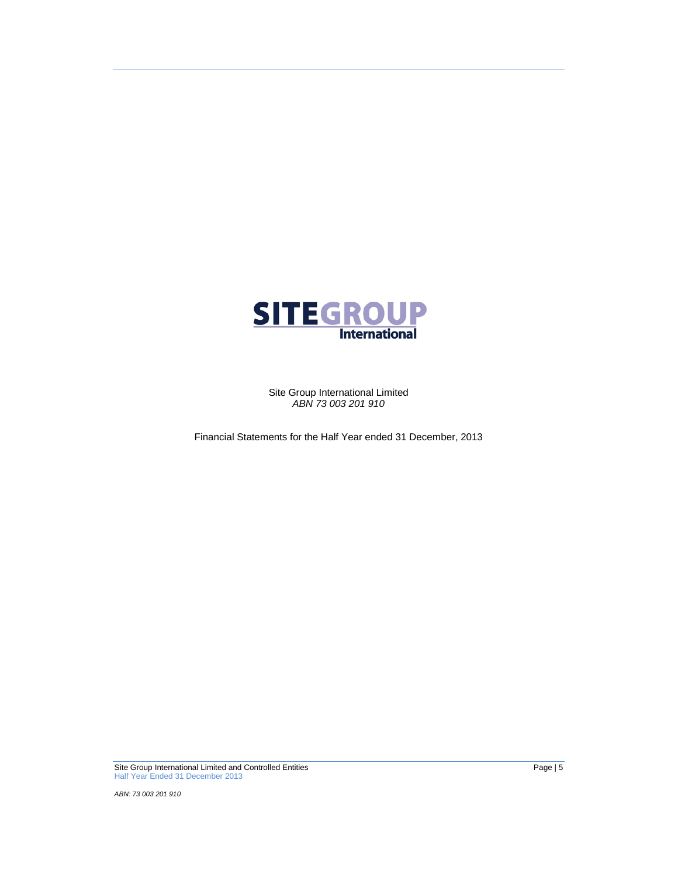

Site Group International Limited *ABN 73 003 201 910*

Financial Statements for the Half Year ended 31 December, 2013

Site Group International Limited and Controlled Entities **Page 15** and 2001 and 2011 and 2011 and 30 and 30 and 30 and 30 and 30 and 30 and 30 and 30 and 30 and 30 and 30 and 30 and 30 and 30 and 30 and 30 and 30 and 30 an Half Year Ended 31 December 2013

*ABN: 73 003 201 910*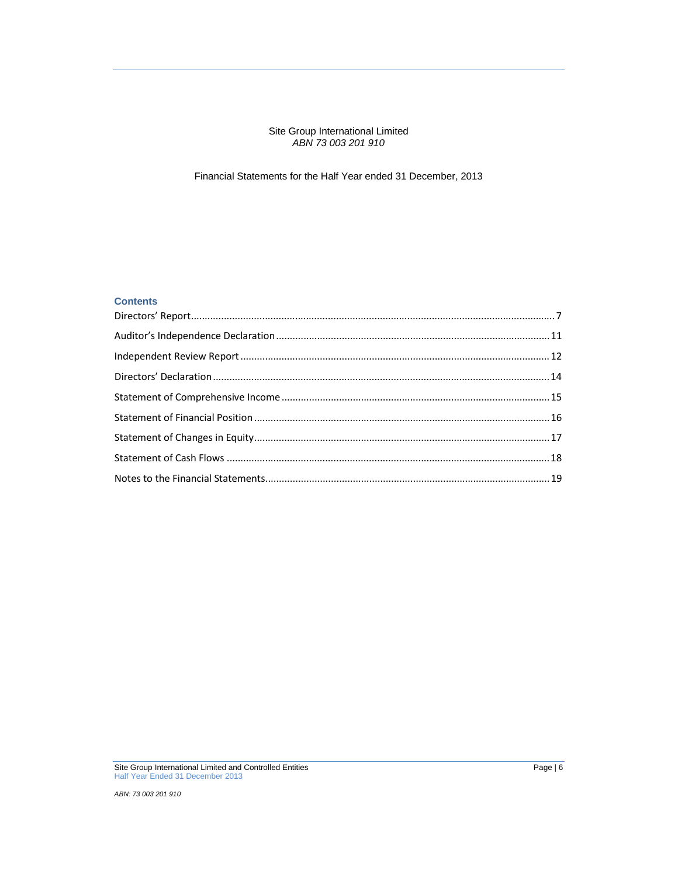#### Site Group International Limited *ABN 73 003 201 910*

## Financial Statements for the Half Year ended 31 December, 2013

## **Contents**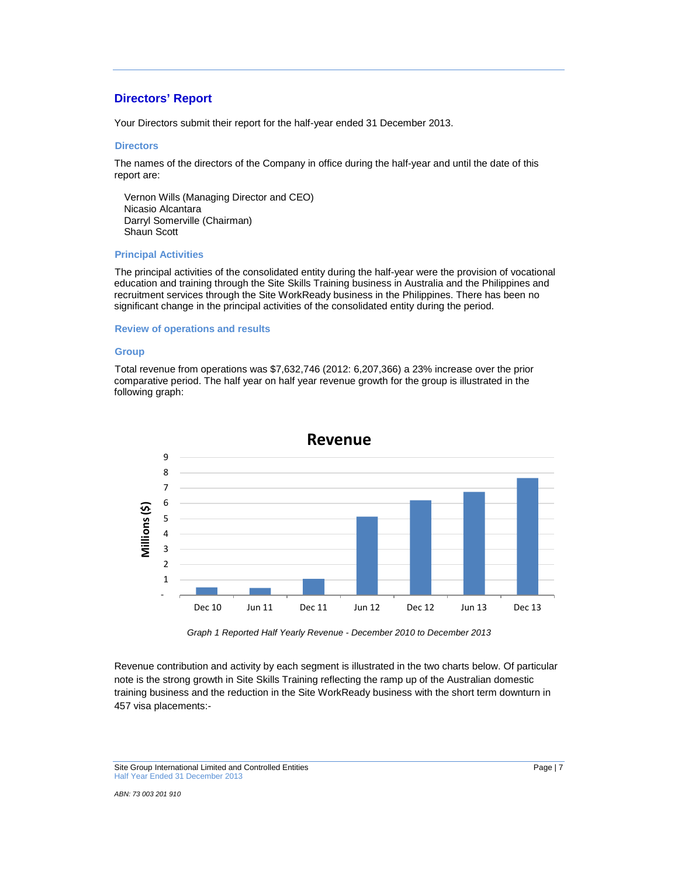## **Directors' Report**

Your Directors submit their report for the half-year ended 31 December 2013.

#### **Directors**

The names of the directors of the Company in office during the half-year and until the date of this report are:

Vernon Wills (Managing Director and CEO) Nicasio Alcantara Darryl Somerville (Chairman) Shaun Scott

#### **Principal Activities**

The principal activities of the consolidated entity during the half-year were the provision of vocational education and training through the Site Skills Training business in Australia and the Philippines and recruitment services through the Site WorkReady business in the Philippines. There has been no significant change in the principal activities of the consolidated entity during the period.

#### **Review of operations and results**

#### **Group**

Total revenue from operations was \$7,632,746 (2012: 6,207,366) a 23% increase over the prior comparative period. The half year on half year revenue growth for the group is illustrated in the following graph:



*Graph 1 Reported Half Yearly Revenue - December 2010 to December 2013*

Revenue contribution and activity by each segment is illustrated in the two charts below. Of particular note is the strong growth in Site Skills Training reflecting the ramp up of the Australian domestic training business and the reduction in the Site WorkReady business with the short term downturn in 457 visa placements:-

Site Group International Limited and Controlled Entities **Page 17** Page 17 Half Year Ended 31 December 2013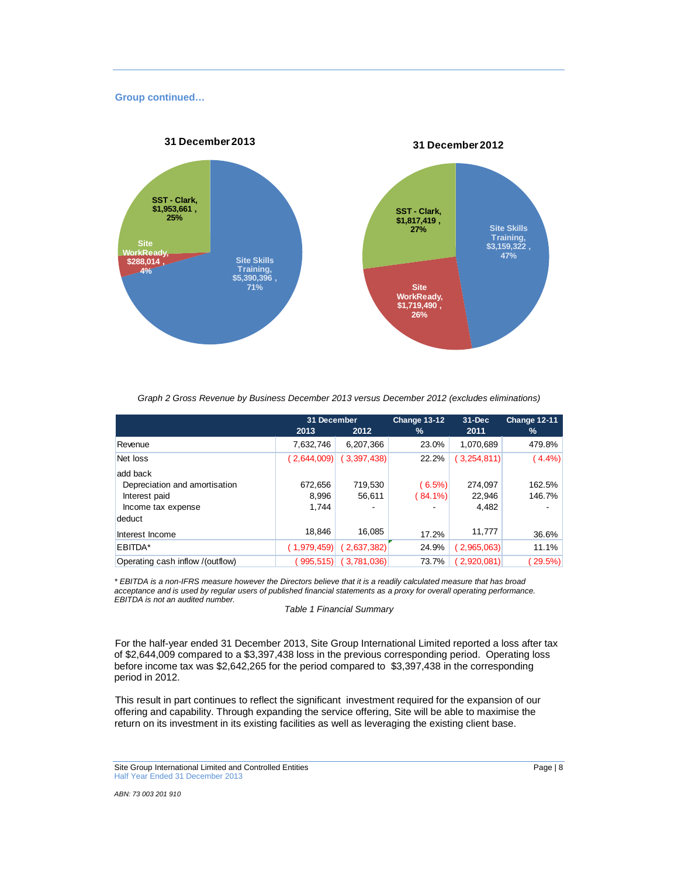### **Group continued…**



*Graph 2 Gross Revenue by Business December 2013 versus December 2012 (excludes eliminations)*

|                                  | 31 December |             | Change 13-12 | $31 - Dec$  | Change 12-11 |
|----------------------------------|-------------|-------------|--------------|-------------|--------------|
|                                  | 2013        | 2012        | %            | 2011        | %            |
| Revenue                          | 7,632,746   | 6,207,366   | 23.0%        | 1,070,689   | 479.8%       |
| Net loss                         | 2,644,009   | (3,397,438) | 22.2%        | (3,254,811) | $(4.4\%)$    |
| add back                         |             |             |              |             |              |
| Depreciation and amortisation    | 672.656     | 719,530     | $(6.5\%)$    | 274,097     | 162.5%       |
| Interest paid                    | 8.996       | 56.611      | $(84.1\%)$   | 22.946      | 146.7%       |
| Income tax expense               | 1.744       |             |              | 4,482       |              |
| deduct                           |             |             |              |             |              |
| Interest Income                  | 18.846      | 16.085      | 17.2%        | 11,777      | 36.6%        |
| EBITDA*                          | (1,979,459) | 2,637,382   | 24.9%        | (2,965,063) | 11.1%        |
| Operating cash inflow /(outflow) | 995,515)    | (3,781,036) | 73.7%        | (2,920,081) | 29.5%        |

\* EBITDA is a non-IFRS measure however the Directors believe that it is a readily calculated measure that has broad acceptance and is used by regular users of published financial statements as a proxy for overall operating performance. *EBITDA is not an audited number.*

*Table 1 Financial Summary*

For the half-year ended 31 December 2013, Site Group International Limited reported a loss after tax of \$2,644,009 compared to a \$3,397,438 loss in the previous corresponding period. Operating loss before income tax was \$2,642,265 for the period compared to \$3,397,438 in the corresponding period in 2012.

This result in part continues to reflect the significant investment required for the expansion of our offering and capability. Through expanding the service offering, Site will be able to maximise the return on its investment in its existing facilities as well as leveraging the existing client base.

Site Group International Limited and Controlled Entities **Page 18** Page | 8 Half Year Ended 31 December 2013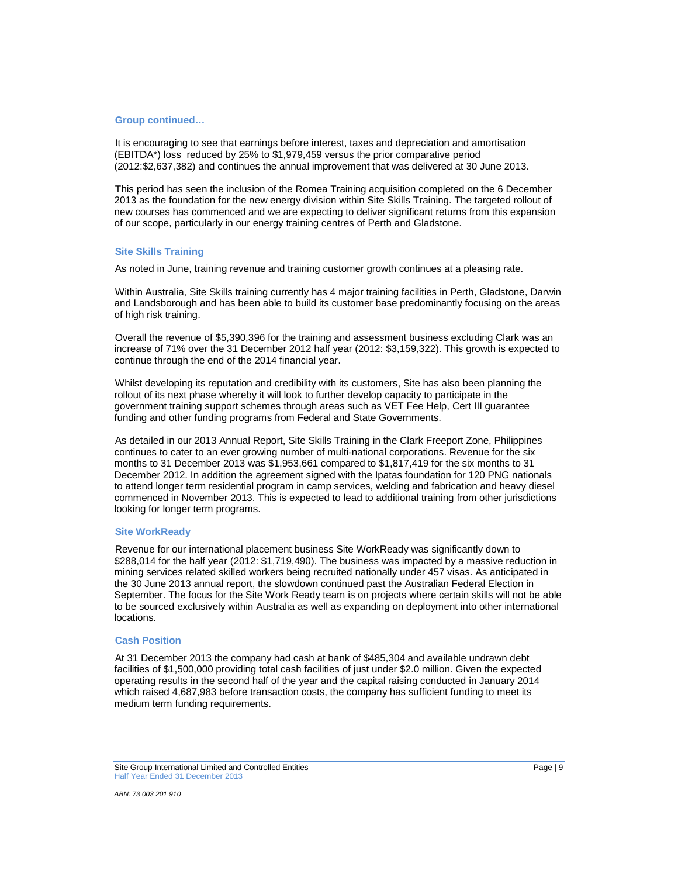### **Group continued…**

It is encouraging to see that earnings before interest, taxes and depreciation and amortisation (EBITDA\*) loss reduced by 25% to \$1,979,459 versus the prior comparative period (2012:\$2,637,382) and continues the annual improvement that was delivered at 30 June 2013.

This period has seen the inclusion of the Romea Training acquisition completed on the 6 December 2013 as the foundation for the new energy division within Site Skills Training. The targeted rollout of new courses has commenced and we are expecting to deliver significant returns from this expansion of our scope, particularly in our energy training centres of Perth and Gladstone.

### **Site Skills Training**

As noted in June, training revenue and training customer growth continues at a pleasing rate.

Within Australia, Site Skills training currently has 4 major training facilities in Perth, Gladstone, Darwin and Landsborough and has been able to build its customer base predominantly focusing on the areas of high risk training.

Overall the revenue of \$5,390,396 for the training and assessment business excluding Clark was an increase of 71% over the 31 December 2012 half year (2012: \$3,159,322). This growth is expected to continue through the end of the 2014 financial year.

Whilst developing its reputation and credibility with its customers, Site has also been planning the rollout of its next phase whereby it will look to further develop capacity to participate in the government training support schemes through areas such as VET Fee Help, Cert III guarantee funding and other funding programs from Federal and State Governments.

As detailed in our 2013 Annual Report, Site Skills Training in the Clark Freeport Zone, Philippines continues to cater to an ever growing number of multi-national corporations. Revenue for the six months to 31 December 2013 was \$1,953,661 compared to \$1,817,419 for the six months to 31 December 2012. In addition the agreement signed with the Ipatas foundation for 120 PNG nationals to attend longer term residential program in camp services, welding and fabrication and heavy diesel commenced in November 2013. This is expected to lead to additional training from other jurisdictions looking for longer term programs.

#### **Site WorkReady**

Revenue for our international placement business Site WorkReady was significantly down to \$288,014 for the half year (2012: \$1,719,490). The business was impacted by a massive reduction in mining services related skilled workers being recruited nationally under 457 visas. As anticipated in the 30 June 2013 annual report, the slowdown continued past the Australian Federal Election in September. The focus for the Site Work Ready team is on projects where certain skills will not be able to be sourced exclusively within Australia as well as expanding on deployment into other international locations.

#### **Cash Position**

At 31 December 2013 the company had cash at bank of \$485,304 and available undrawn debt facilities of \$1,500,000 providing total cash facilities of just under \$2.0 million. Given the expected operating results in the second half of the year and the capital raising conducted in January 2014 which raised 4,687,983 before transaction costs, the company has sufficient funding to meet its medium term funding requirements.

Site Group International Limited and Controlled Entities **Page 19** Page | 9 Half Year Ended 31 December 2013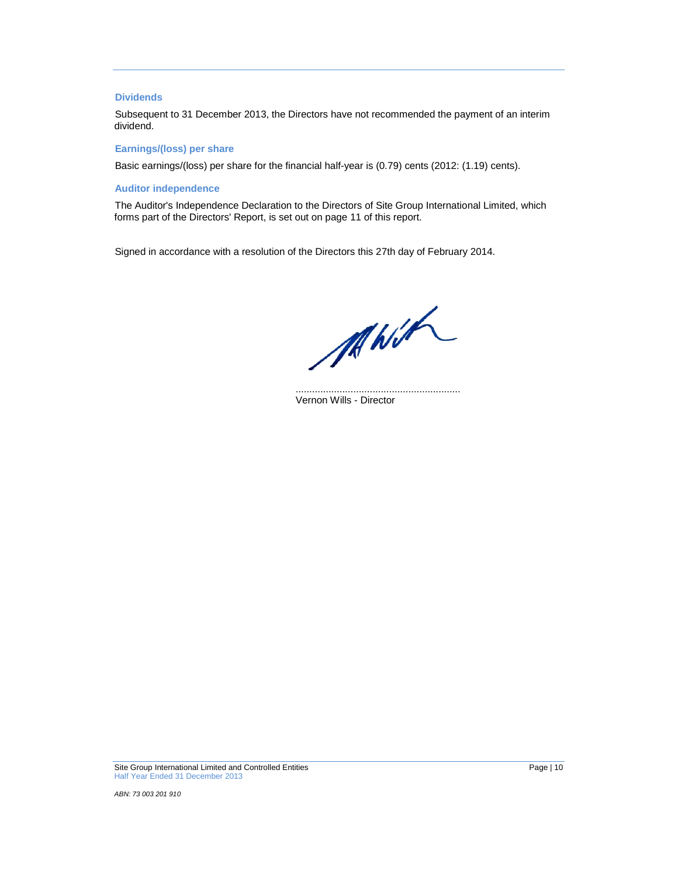### **Dividends**

Subsequent to 31 December 2013, the Directors have not recommended the payment of an interim dividend.

#### **Earnings/(loss) per share**

Basic earnings/(loss) per share for the financial half-year is (0.79) cents (2012: (1.19) cents).

## **Auditor independence**

The Auditor's Independence Declaration to the Directors of Site Group International Limited, which forms part of the Directors' Report, is set out on page 11 of this report.

Signed in accordance with a resolution of the Directors this 27th day of February 2014.

MWH

............................................................ Vernon Wills - Director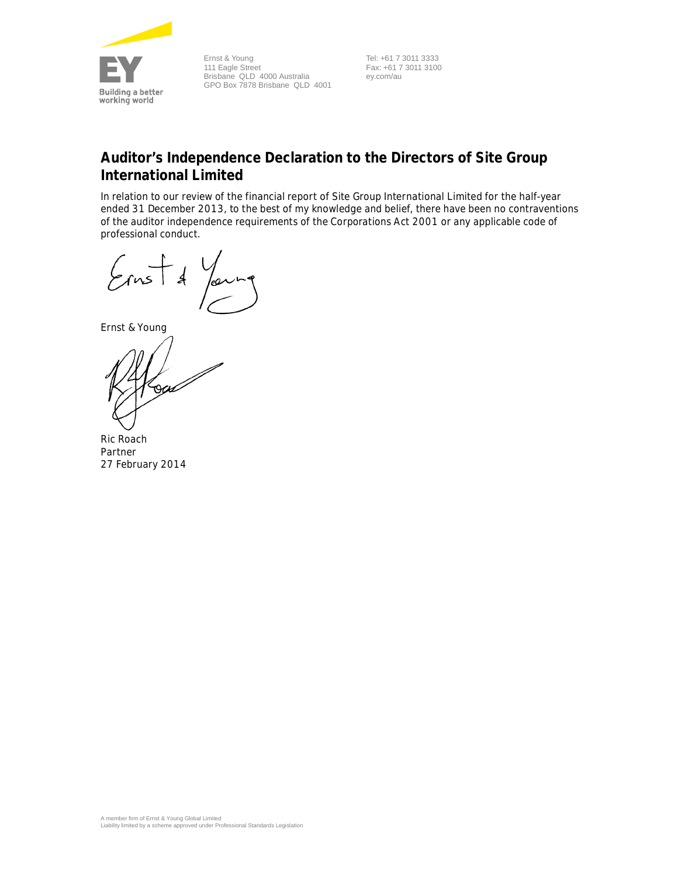

Ernst & Young 111 Eagle Street Brisbane QLD 4000 Australia GPO Box 7878 Brisbane QLD 4001

Tel: +61 7 3011 3333 Fax: +61 7 3011 3100 ey.com/au

# **Auditor's Independence Declaration to the Directors of Site Group International Limited**

In relation to our review of the financial report of Site Group International Limited for the half-year ended 31 December 2013, to the best of my knowledge and belief, there have been no contraventions of the auditor independence requirements of the *Corporations Act 2001* or any applicable code of professional conduct.

 $\epsilon$  $\mathcal{A}$ 

Ernst & Young

rau

Ric Roach Partner 27 February 2014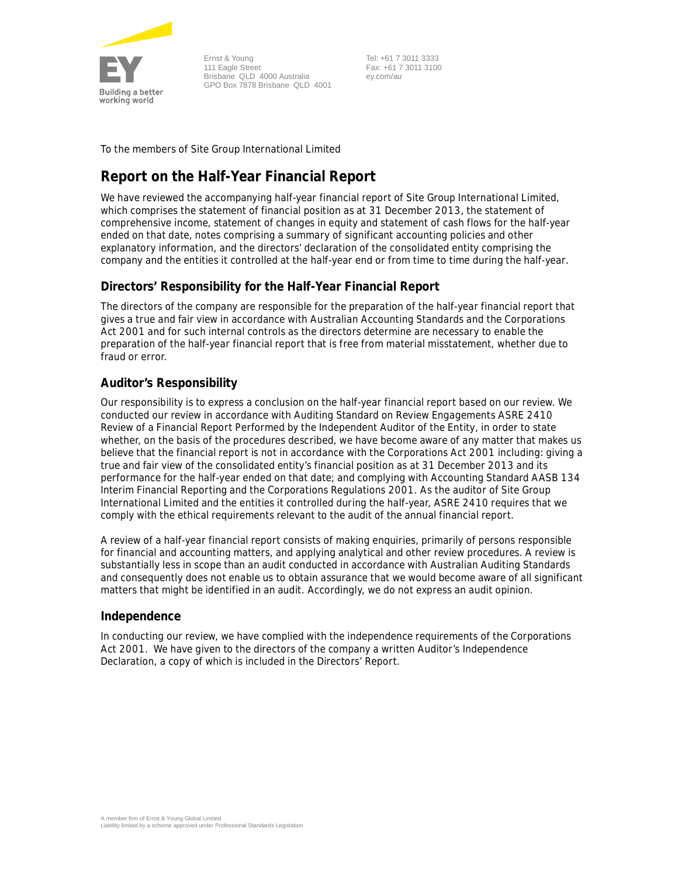

Ernst & Young 111 Eagle Street Brisbane QLD 4000 Australia GPO Box 7878 Brisbane QLD 4001

Tel: +61 7 3011 3333 Fax: +61 7 3011 3100 ey.com/au

To the members of Site Group International Limited

# **Report on the Half-Year Financial Report**

We have reviewed the accompanying half-year financial report of Site Group International Limited, which comprises the statement of financial position as at 31 December 2013, the statement of comprehensive income, statement of changes in equity and statement of cash flows for the half-year ended on that date, notes comprising a summary of significant accounting policies and other explanatory information, and the directors' declaration of the consolidated entity comprising the company and the entities it controlled at the half-year end or from time to time during the half-year.

## **Directors' Responsibility for the Half-Year Financial Report**

The directors of the company are responsible for the preparation of the half-year financial report that gives a true and fair view in accordance with Australian Accounting Standards and the *Corporations*  Act 2001 and for such internal controls as the directors determine are necessary to enable the preparation of the half-year financial report that is free from material misstatement, whether due to fraud or error.

## **Auditor's Responsibility**

Our responsibility is to express a conclusion on the half-year financial report based on our review. We conducted our review in accordance with Auditing Standard on Review Engagements ASRE 2410 *Review of a Financial Report Performed by the Independent Auditor of the Entity*, in order to state whether, on the basis of the procedures described, we have become aware of any matter that makes us believe that the financial report is not in accordance with the *Corporations Act 2001* including: giving a true and fair view of the consolidated entity's financial position as at 31 December 2013 and its performance for the half-year ended on that date; and complying with Accounting Standard AASB 134 *Interim Financial Reporting* and the *Corporations Regulations 2001*. As the auditor of Site Group International Limited and the entities it controlled during the half-year, ASRE 2410 requires that we comply with the ethical requirements relevant to the audit of the annual financial report.

A review of a half-year financial report consists of making enquiries, primarily of persons responsible for financial and accounting matters, and applying analytical and other review procedures. A review is substantially less in scope than an audit conducted in accordance with Australian Auditing Standards and consequently does not enable us to obtain assurance that we would become aware of all significant matters that might be identified in an audit. Accordingly, we do not express an audit opinion.

## **Independence**

In conducting our review, we have complied with the independence requirements of the *Corporations Act 2001*. We have given to the directors of the company a written Auditor's Independence Declaration, a copy of which is included in the Directors' Report.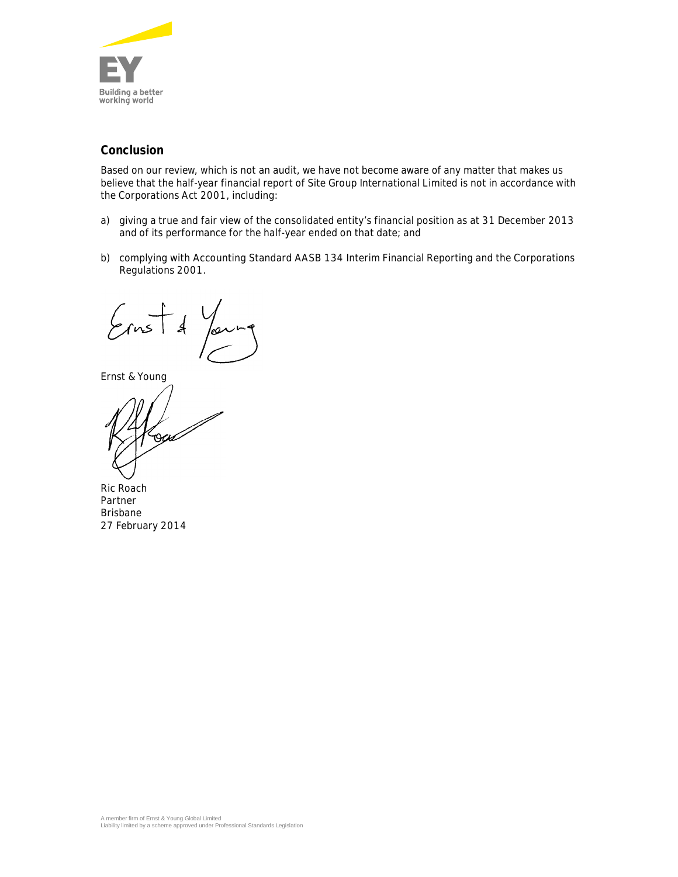

## **Conclusion**

Based on our review, which is not an audit, we have not become aware of any matter that makes us believe that the half-year financial report of Site Group International Limited is not in accordance with the *Corporations Act 2001*, including:

- a) giving a true and fair view of the consolidated entity's financial position as at 31 December 2013 and of its performance for the half-year ended on that date; and
- b) complying with Accounting Standard AASB 134 *Interim Financial Reporting* and the *Corporations Regulations 2001*.

 $\frac{1}{\sqrt{1}}$  $\cancel{4}$ عەا

Ernst & Young

rscra

Ric Roach Partner Brisbane 27 February 2014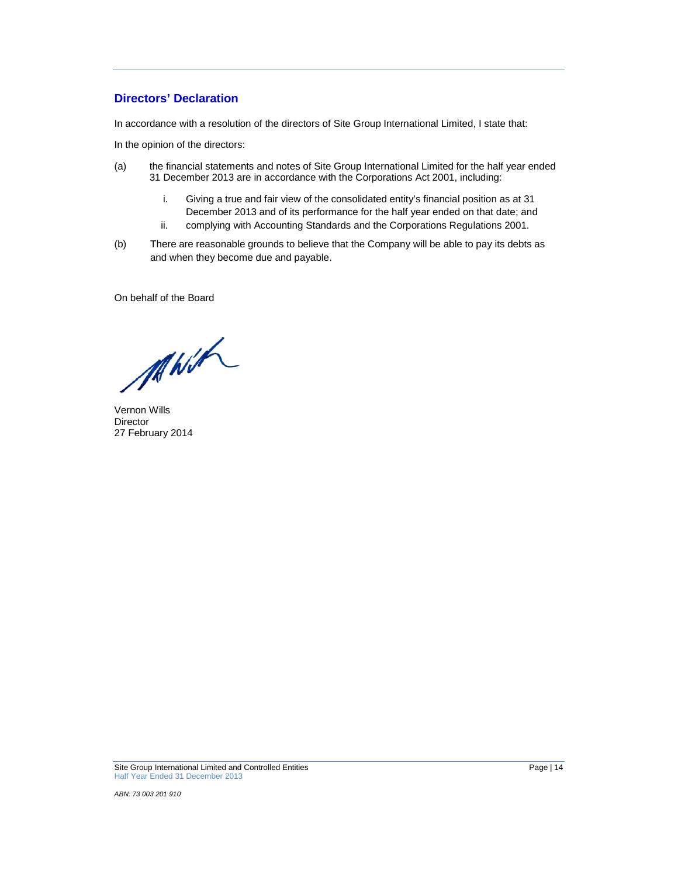## **Directors' Declaration**

In accordance with a resolution of the directors of Site Group International Limited, I state that:

In the opinion of the directors:

- (a) the financial statements and notes of Site Group International Limited for the half year ended 31 December 2013 are in accordance with the Corporations Act 2001, including:
	- i. Giving a true and fair view of the consolidated entity's financial position as at 31 December 2013 and of its performance for the half year ended on that date; and
	- ii. complying with Accounting Standards and the Corporations Regulations 2001.
- (b) There are reasonable grounds to believe that the Company will be able to pay its debts as and when they become due and payable.

On behalf of the Board

MWh

Vernon Wills **Director** 27 February 2014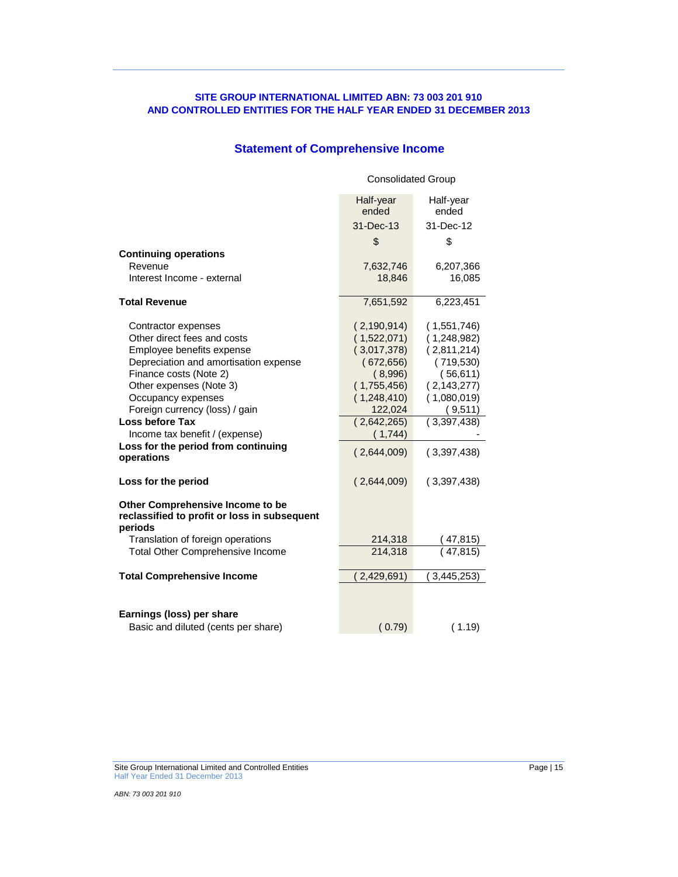# **Statement of Comprehensive Income**

|                                                                                             | <b>Consolidated Group</b>       |                                 |  |
|---------------------------------------------------------------------------------------------|---------------------------------|---------------------------------|--|
|                                                                                             | Half-year<br>ended<br>31-Dec-13 | Half-year<br>ended<br>31-Dec-12 |  |
|                                                                                             | \$                              | \$                              |  |
| <b>Continuing operations</b>                                                                |                                 |                                 |  |
| Revenue                                                                                     | 7,632,746                       | 6,207,366                       |  |
| Interest Income - external                                                                  | 18,846                          | 16,085                          |  |
| <b>Total Revenue</b>                                                                        | 7,651,592                       | 6,223,451                       |  |
| Contractor expenses                                                                         | (2, 190, 914)                   | (1,551,746)                     |  |
| Other direct fees and costs                                                                 | (1,522,071)                     | (1,248,982)                     |  |
| Employee benefits expense                                                                   | (3,017,378)                     | (2,811,214)                     |  |
| Depreciation and amortisation expense<br>Finance costs (Note 2)                             | (672, 656)<br>(8,996)           | (719, 530)                      |  |
| Other expenses (Note 3)                                                                     | (1,755,456)                     | (56, 611)<br>(2, 143, 277)      |  |
| Occupancy expenses                                                                          | (1,248,410)                     | (1,080,019)                     |  |
| Foreign currency (loss) / gain                                                              | 122,024                         | (9,511)                         |  |
| Loss before Tax                                                                             | (2,642,265)                     | (3,397,438)                     |  |
| Income tax benefit / (expense)                                                              | (1,744)                         |                                 |  |
| Loss for the period from continuing<br>operations                                           | (2,644,009)                     | (3,397,438)                     |  |
| Loss for the period                                                                         | (2,644,009)                     | (3,397,438)                     |  |
| Other Comprehensive Income to be<br>reclassified to profit or loss in subsequent<br>periods |                                 |                                 |  |
| Translation of foreign operations                                                           | 214,318                         | ( 47,815)                       |  |
| <b>Total Other Comprehensive Income</b>                                                     | 214,318                         | (47, 815)                       |  |
| <b>Total Comprehensive Income</b>                                                           | 2,429,691)                      | 3,445,253)                      |  |
|                                                                                             |                                 |                                 |  |
| Earnings (loss) per share                                                                   |                                 |                                 |  |
| Basic and diluted (cents per share)                                                         | (0.79)                          | (1.19)                          |  |

Site Group International Limited and Controlled Entities **Page 15** According to the Page | 15

Half Year Ended 31 December 2013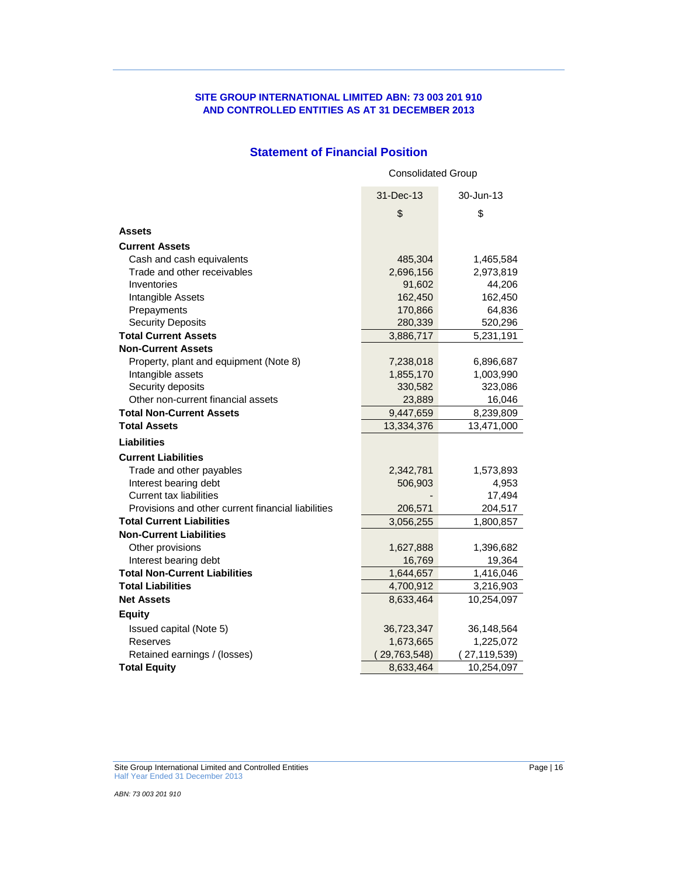## **SITE GROUP INTERNATIONAL LIMITED ABN: 73 003 201 910 AND CONTROLLED ENTITIES AS AT 31 DECEMBER 2013**

## **Statement of Financial Position**

|                                                    | <b>Consolidated Group</b> |                |  |  |
|----------------------------------------------------|---------------------------|----------------|--|--|
|                                                    | 31-Dec-13                 | 30-Jun-13      |  |  |
|                                                    | \$                        | \$             |  |  |
| Assets                                             |                           |                |  |  |
| <b>Current Assets</b>                              |                           |                |  |  |
| Cash and cash equivalents                          | 485,304                   | 1,465,584      |  |  |
| Trade and other receivables                        | 2,696,156                 | 2,973,819      |  |  |
| Inventories                                        | 91,602                    | 44,206         |  |  |
| Intangible Assets                                  | 162,450                   | 162,450        |  |  |
| Prepayments                                        | 170,866                   | 64,836         |  |  |
| <b>Security Deposits</b>                           | 280,339                   | 520,296        |  |  |
| <b>Total Current Assets</b>                        | 3,886,717                 | 5,231,191      |  |  |
| <b>Non-Current Assets</b>                          |                           |                |  |  |
| Property, plant and equipment (Note 8)             | 7,238,018                 | 6,896,687      |  |  |
| Intangible assets                                  | 1,855,170                 | 1,003,990      |  |  |
| Security deposits                                  | 330,582                   | 323,086        |  |  |
| Other non-current financial assets                 | 23,889                    | 16,046         |  |  |
| <b>Total Non-Current Assets</b>                    | 9,447,659                 | 8,239,809      |  |  |
| <b>Total Assets</b>                                | 13,334,376                | 13,471,000     |  |  |
| <b>Liabilities</b>                                 |                           |                |  |  |
| <b>Current Liabilities</b>                         |                           |                |  |  |
| Trade and other payables                           | 2,342,781                 | 1,573,893      |  |  |
| Interest bearing debt                              | 506,903                   | 4,953          |  |  |
| <b>Current tax liabilities</b>                     |                           | 17,494         |  |  |
| Provisions and other current financial liabilities | 206,571                   | 204,517        |  |  |
| <b>Total Current Liabilities</b>                   | 3,056,255                 | 1,800,857      |  |  |
| <b>Non-Current Liabilities</b>                     |                           |                |  |  |
| Other provisions                                   | 1,627,888                 | 1,396,682      |  |  |
| Interest bearing debt                              | 16,769                    | 19,364         |  |  |
| <b>Total Non-Current Liabilities</b>               | 1,644,657                 | 1,416,046      |  |  |
| <b>Total Liabilities</b>                           | 4,700,912                 | 3,216,903      |  |  |
| <b>Net Assets</b>                                  | 8,633,464                 | 10,254,097     |  |  |
| <b>Equity</b>                                      |                           |                |  |  |
| Issued capital (Note 5)                            | 36,723,347                | 36,148,564     |  |  |
| Reserves                                           | 1,673,665                 | 1,225,072      |  |  |
| Retained earnings / (losses)                       | 29,763,548)               | (27, 119, 539) |  |  |
| <b>Total Equity</b>                                | 8,633,464                 | 10,254,097     |  |  |

Site Group International Limited and Controlled Entities **Page 16** and Controlled Entities **Page 16** and Page | 16 Half Year Ended 31 December 2013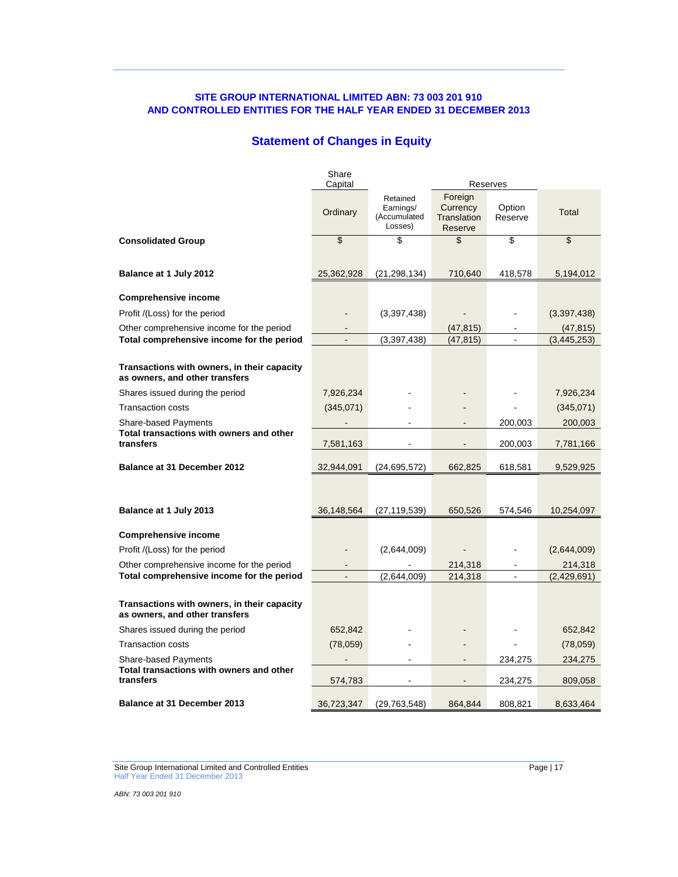## **Statement of Changes in Equity**

|                                                                               | Share<br>Capital      |                                                  |                                               | Reserves           |                      |
|-------------------------------------------------------------------------------|-----------------------|--------------------------------------------------|-----------------------------------------------|--------------------|----------------------|
|                                                                               | Ordinary              | Retained<br>Earnings/<br>(Accumulated<br>Losses) | Foreign<br>Currency<br>Translation<br>Reserve | Option<br>Reserve  | <b>Total</b>         |
| <b>Consolidated Group</b>                                                     | $\boldsymbol{\theta}$ | \$                                               | \$                                            | \$                 | \$                   |
| Balance at 1 July 2012                                                        | 25,362,928            | (21, 298, 134)                                   | 710,640                                       | 418,578            | 5,194,012            |
| <b>Comprehensive income</b>                                                   |                       |                                                  |                                               |                    |                      |
| Profit /(Loss) for the period                                                 |                       | (3,397,438)                                      |                                               |                    | (3,397,438)          |
| Other comprehensive income for the period                                     |                       |                                                  | (47, 815)                                     |                    | (47, 815)            |
| Total comprehensive income for the period                                     |                       | (3, 397, 438)                                    | (47, 815)                                     |                    | (3, 445, 253)        |
| Transactions with owners, in their capacity<br>as owners, and other transfers |                       |                                                  |                                               |                    |                      |
| Shares issued during the period                                               | 7,926,234             |                                                  |                                               |                    | 7,926,234            |
| <b>Transaction costs</b>                                                      | (345,071)             |                                                  |                                               |                    | (345,071)            |
| Share-based Payments<br>Total transactions with owners and other<br>transfers | 7,581,163             |                                                  |                                               | 200,003<br>200,003 | 200,003<br>7,781,166 |
| <b>Balance at 31 December 2012</b>                                            | 32,944,091            | (24, 695, 572)                                   | 662,825                                       | 618,581            | 9,529,925            |
|                                                                               |                       |                                                  |                                               |                    |                      |
| Balance at 1 July 2013                                                        | 36,148,564            | (27, 119, 539)                                   | 650,526                                       | 574,546            | 10,254,097           |
| <b>Comprehensive income</b>                                                   |                       |                                                  |                                               |                    |                      |
| Profit /(Loss) for the period                                                 |                       | (2,644,009)                                      |                                               |                    | (2,644,009)          |
| Other comprehensive income for the period                                     |                       |                                                  | 214,318                                       |                    | 214,318              |
| Total comprehensive income for the period                                     |                       | (2,644,009)                                      | 214,318                                       | $\blacksquare$     | (2,429,691)          |
| Transactions with owners, in their capacity<br>as owners, and other transfers |                       |                                                  |                                               |                    |                      |
| Shares issued during the period                                               | 652,842               |                                                  |                                               |                    | 652,842              |
| <b>Transaction costs</b>                                                      | (78,059)              |                                                  |                                               |                    | (78,059)             |
| <b>Share-based Payments</b>                                                   |                       |                                                  |                                               | 234,275            | 234,275              |
| Total transactions with owners and other<br>transfers                         | 574,783               |                                                  |                                               | 234,275            | 809,058              |
| <b>Balance at 31 December 2013</b>                                            | 36,723,347            | (29, 763, 548)                                   | 864,844                                       | 808,821            | 8,633,464            |

Site Group International Limited and Controlled Entities **Page 17** According to the Page | 17 Half Year Ended 31 December 2013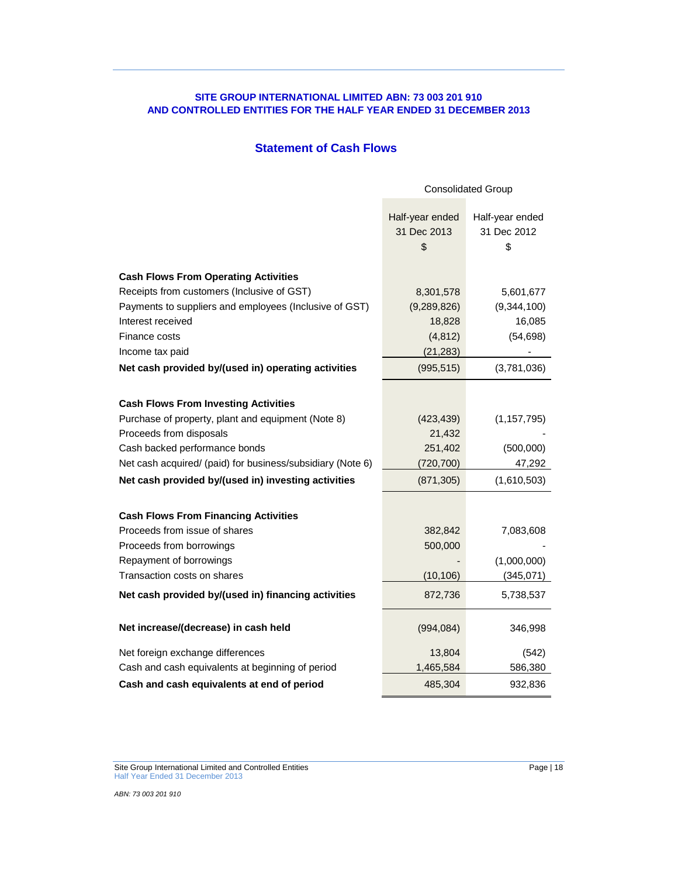## **Statement of Cash Flows**

|                                                            | <b>Consolidated Group</b>            |                                      |  |
|------------------------------------------------------------|--------------------------------------|--------------------------------------|--|
|                                                            | Half-year ended<br>31 Dec 2013<br>\$ | Half-year ended<br>31 Dec 2012<br>\$ |  |
| <b>Cash Flows From Operating Activities</b>                |                                      |                                      |  |
| Receipts from customers (Inclusive of GST)                 | 8,301,578                            | 5,601,677                            |  |
| Payments to suppliers and employees (Inclusive of GST)     | (9, 289, 826)                        | (9,344,100)                          |  |
| Interest received                                          | 18,828                               | 16,085                               |  |
| Finance costs                                              | (4, 812)                             | (54, 698)                            |  |
| Income tax paid                                            | (21, 283)                            |                                      |  |
| Net cash provided by/(used in) operating activities        | (995, 515)                           | (3,781,036)                          |  |
|                                                            |                                      |                                      |  |
| <b>Cash Flows From Investing Activities</b>                |                                      |                                      |  |
| Purchase of property, plant and equipment (Note 8)         | (423, 439)                           | (1, 157, 795)                        |  |
| Proceeds from disposals                                    | 21,432                               |                                      |  |
| Cash backed performance bonds                              | 251,402                              | (500,000)                            |  |
| Net cash acquired/ (paid) for business/subsidiary (Note 6) | (720, 700)                           | 47,292                               |  |
| Net cash provided by/(used in) investing activities        | (871, 305)                           | (1,610,503)                          |  |
|                                                            |                                      |                                      |  |
| <b>Cash Flows From Financing Activities</b>                |                                      |                                      |  |
| Proceeds from issue of shares                              | 382,842                              | 7,083,608                            |  |
| Proceeds from borrowings<br>Repayment of borrowings        | 500,000                              | (1,000,000)                          |  |
| Transaction costs on shares                                | (10, 106)                            | (345,071)                            |  |
|                                                            |                                      |                                      |  |
| Net cash provided by/(used in) financing activities        | 872,736                              | 5,738,537                            |  |
| Net increase/(decrease) in cash held                       | (994, 084)                           | 346,998                              |  |
| Net foreign exchange differences                           | 13,804                               | (542)                                |  |
| Cash and cash equivalents at beginning of period           | 1,465,584                            | 586,380                              |  |
| Cash and cash equivalents at end of period                 | 485,304                              | 932,836                              |  |

Site Group International Limited and Controlled Entities **Page 18** According to the Page | 18 Half Year Ended 31 December 2013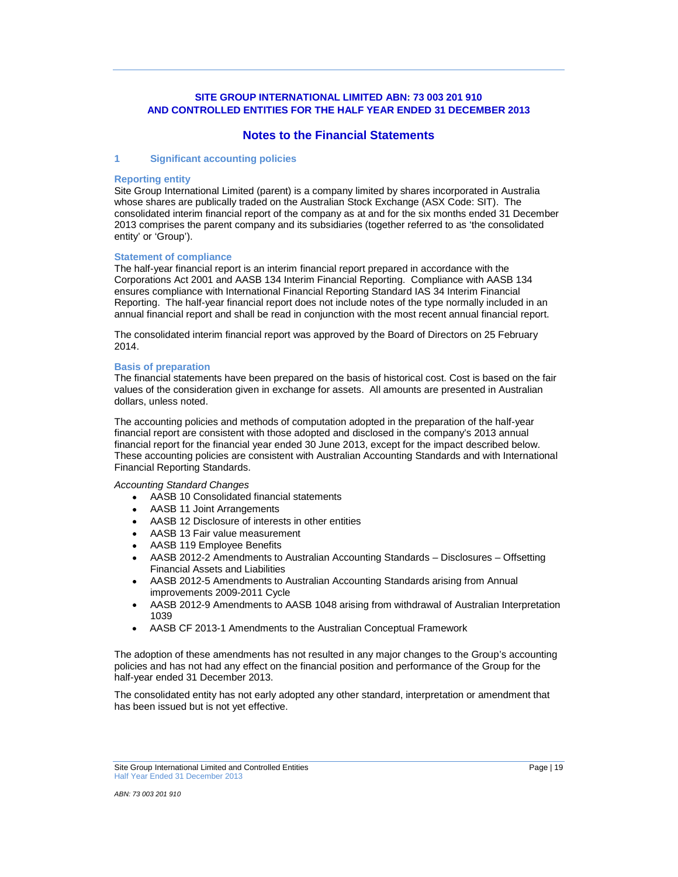## **Notes to the Financial Statements**

### **1 Significant accounting policies**

#### **Reporting entity**

Site Group International Limited (parent) is a company limited by shares incorporated in Australia whose shares are publically traded on the Australian Stock Exchange (ASX Code: SIT). The consolidated interim financial report of the company as at and for the six months ended 31 December 2013 comprises the parent company and its subsidiaries (together referred to as 'the consolidated entity' or 'Group').

#### **Statement of compliance**

The half-year financial report is an interim financial report prepared in accordance with the Corporations Act 2001 and AASB 134 Interim Financial Reporting. Compliance with AASB 134 ensures compliance with International Financial Reporting Standard IAS 34 Interim Financial Reporting. The half-year financial report does not include notes of the type normally included in an annual financial report and shall be read in conjunction with the most recent annual financial report.

The consolidated interim financial report was approved by the Board of Directors on 25 February 2014.

#### **Basis of preparation**

The financial statements have been prepared on the basis of historical cost. Cost is based on the fair values of the consideration given in exchange for assets. All amounts are presented in Australian dollars, unless noted.

The accounting policies and methods of computation adopted in the preparation of the half-year financial report are consistent with those adopted and disclosed in the company's 2013 annual financial report for the financial year ended 30 June 2013, except for the impact described below. These accounting policies are consistent with Australian Accounting Standards and with International Financial Reporting Standards.

#### *Accounting Standard Changes*

- AASB 10 Consolidated financial statements  $\bullet$
- AASB 11 Joint Arrangements
- AASB 12 Disclosure of interests in other entities
- AASB 13 Fair value measurement
- AASB 119 Employee Benefits
- AASB 2012-2 Amendments to Australian Accounting Standards Disclosures Offsetting Financial Assets and Liabilities
- AASB 2012-5 Amendments to Australian Accounting Standards arising from Annual improvements 2009-2011 Cycle
- AASB 2012-9 Amendments to AASB 1048 arising from withdrawal of Australian Interpretation 1039
- AASB CF 2013-1 Amendments to the Australian Conceptual Framework

The adoption of these amendments has not resulted in any major changes to the Group's accounting policies and has not had any effect on the financial position and performance of the Group for the half-year ended 31 December 2013.

The consolidated entity has not early adopted any other standard, interpretation or amendment that has been issued but is not yet effective.

Site Group International Limited and Controlled Entities **Page | 19** Page | 19 Half Year Ended 31 December 2013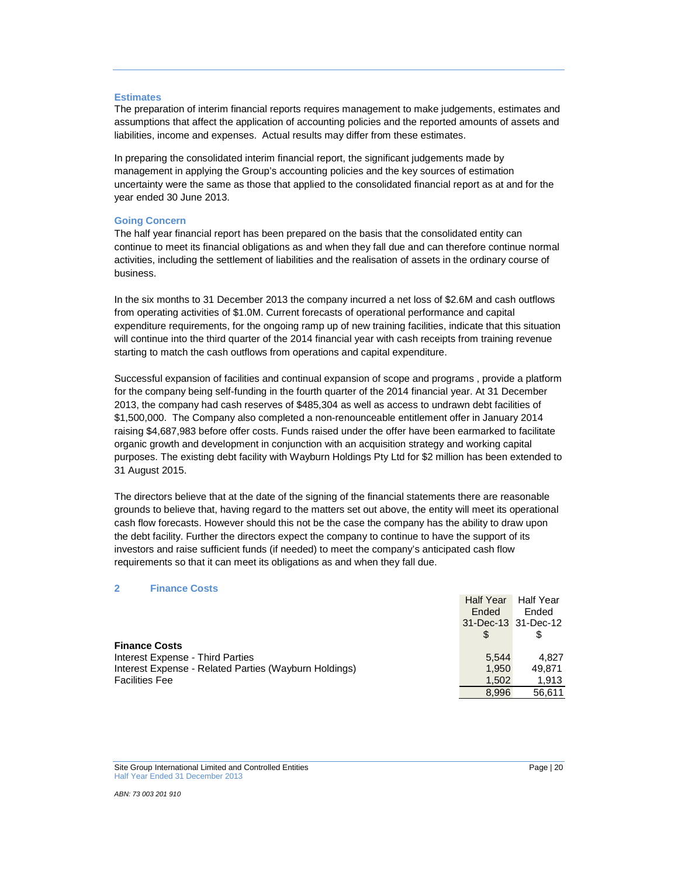#### **Estimates**

The preparation of interim financial reports requires management to make judgements, estimates and assumptions that affect the application of accounting policies and the reported amounts of assets and liabilities, income and expenses. Actual results may differ from these estimates.

In preparing the consolidated interim financial report, the significant judgements made by management in applying the Group's accounting policies and the key sources of estimation uncertainty were the same as those that applied to the consolidated financial report as at and for the year ended 30 June 2013.

#### **Going Concern**

The half year financial report has been prepared on the basis that the consolidated entity can continue to meet its financial obligations as and when they fall due and can therefore continue normal activities, including the settlement of liabilities and the realisation of assets in the ordinary course of business.

In the six months to 31 December 2013 the company incurred a net loss of \$2.6M and cash outflows from operating activities of \$1.0M. Current forecasts of operational performance and capital expenditure requirements, for the ongoing ramp up of new training facilities, indicate that this situation will continue into the third quarter of the 2014 financial year with cash receipts from training revenue starting to match the cash outflows from operations and capital expenditure.

Successful expansion of facilities and continual expansion of scope and programs , provide a platform for the company being self-funding in the fourth quarter of the 2014 financial year. At 31 December 2013, the company had cash reserves of \$485,304 as well as access to undrawn debt facilities of \$1,500,000. The Company also completed a non-renounceable entitlement offer in January 2014 raising \$4,687,983 before offer costs. Funds raised under the offer have been earmarked to facilitate organic growth and development in conjunction with an acquisition strategy and working capital purposes. The existing debt facility with Wayburn Holdings Pty Ltd for \$2 million has been extended to 31 August 2015.

The directors believe that at the date of the signing of the financial statements there are reasonable grounds to believe that, having regard to the matters set out above, the entity will meet its operational cash flow forecasts. However should this not be the case the company has the ability to draw upon the debt facility. Further the directors expect the company to continue to have the support of its investors and raise sufficient funds (if needed) to meet the company's anticipated cash flow requirements so that it can meet its obligations as and when they fall due.

#### **2 Finance Costs**

|                                                       | <b>Half Year</b> | <b>Half Year</b>    |
|-------------------------------------------------------|------------------|---------------------|
|                                                       | Ended            | Ended               |
|                                                       |                  | 31-Dec-13 31-Dec-12 |
|                                                       |                  |                     |
| <b>Finance Costs</b>                                  |                  |                     |
| Interest Expense - Third Parties                      | 5.544            | 4.827               |
| Interest Expense - Related Parties (Wayburn Holdings) | 1.950            | 49.871              |
| <b>Facilities Fee</b>                                 | 1.502            | 1.913               |
|                                                       | 8.996            | 56.611              |

Site Group International Limited and Controlled Entities **Page | 20** Page | 20 Half Year Ended 31 December 2013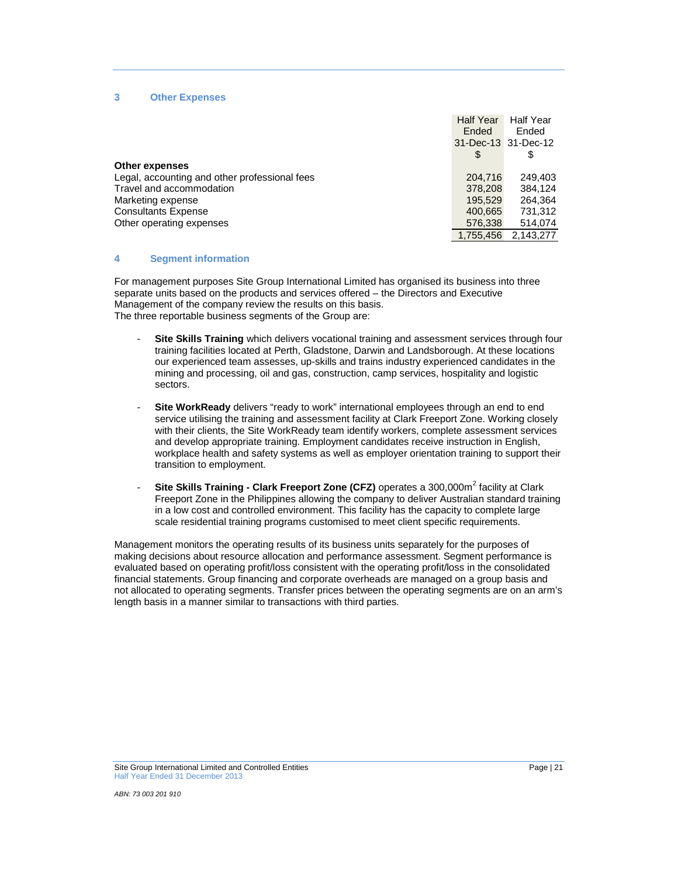#### **3 Other Expenses**

|                                               | <b>Half Year</b>    | <b>Half Year</b> |
|-----------------------------------------------|---------------------|------------------|
|                                               | Ended               | Ended            |
|                                               | 31-Dec-13 31-Dec-12 |                  |
|                                               | \$.                 | \$               |
| <b>Other expenses</b>                         |                     |                  |
| Legal, accounting and other professional fees | 204,716             | 249.403          |
| Travel and accommodation                      | 378,208             | 384.124          |
| Marketing expense                             | 195.529             | 264.364          |
| <b>Consultants Expense</b>                    | 400,665             | 731,312          |
| Other operating expenses                      | 576,338             | 514,074          |
|                                               | 1.755.456           | 2.143.277        |

#### **4 Segment information**

For management purposes Site Group International Limited has organised its business into three separate units based on the products and services offered – the Directors and Executive Management of the company review the results on this basis. The three reportable business segments of the Group are:

- **Site Skills Training** which delivers vocational training and assessment services through four training facilities located at Perth, Gladstone, Darwin and Landsborough. At these locations our experienced team assesses, up-skills and trains industry experienced candidates in the mining and processing, oil and gas, construction, camp services, hospitality and logistic sectors.
- Site WorkReady delivers "ready to work" international employees through an end to end service utilising the training and assessment facility at Clark Freeport Zone. Working closely with their clients, the Site WorkReady team identify workers, complete assessment services and develop appropriate training. Employment candidates receive instruction in English, workplace health and safety systems as well as employer orientation training to support their transition to employment.
- **Site Skills Training - Clark Freeport Zone (CFZ)** operates a 300,000m<sup>2</sup> facility at Clark Freeport Zone in the Philippines allowing the company to deliver Australian standard training in a low cost and controlled environment. This facility has the capacity to complete large scale residential training programs customised to meet client specific requirements.

Management monitors the operating results of its business units separately for the purposes of making decisions about resource allocation and performance assessment. Segment performance is evaluated based on operating profit/loss consistent with the operating profit/loss in the consolidated financial statements. Group financing and corporate overheads are managed on a group basis and not allocated to operating segments. Transfer prices between the operating segments are on an arm's length basis in a manner similar to transactions with third parties.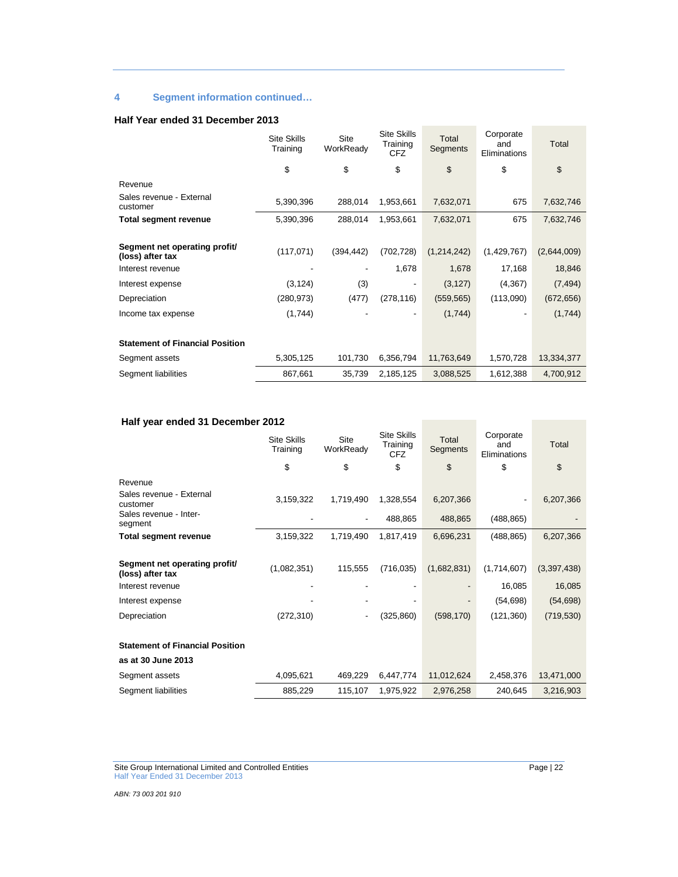## **4 Segment information continued…**

### **Half Year ended 31 December 2013**

|                                                   | <b>Site Skills</b><br>Training | Site<br>WorkReady | <b>Site Skills</b><br>Training<br><b>CFZ</b> | Total<br>Segments | Corporate<br>and<br>Eliminations | Total         |
|---------------------------------------------------|--------------------------------|-------------------|----------------------------------------------|-------------------|----------------------------------|---------------|
|                                                   | \$                             | \$                | \$                                           | \$                | \$                               | $\mathsf{\$}$ |
| Revenue                                           |                                |                   |                                              |                   |                                  |               |
| Sales revenue - External<br>customer              | 5,390,396                      | 288,014           | 1,953,661                                    | 7,632,071         | 675                              | 7,632,746     |
| Total segment revenue                             | 5,390,396                      | 288,014           | 1,953,661                                    | 7,632,071         | 675                              | 7,632,746     |
|                                                   |                                |                   |                                              |                   |                                  |               |
| Segment net operating profit/<br>(loss) after tax | (117,071)                      | (394, 442)        | (702, 728)                                   | (1,214,242)       | (1,429,767)                      | (2,644,009)   |
| Interest revenue                                  |                                |                   | 1,678                                        | 1,678             | 17,168                           | 18,846        |
| Interest expense                                  | (3, 124)                       | (3)               |                                              | (3, 127)          | (4,367)                          | (7, 494)      |
| Depreciation                                      | (280, 973)                     | (477)             | (278, 116)                                   | (559, 565)        | (113,090)                        | (672, 656)    |
| Income tax expense                                | (1,744)                        |                   | ٠                                            | (1,744)           | ۰                                | (1,744)       |
|                                                   |                                |                   |                                              |                   |                                  |               |
| <b>Statement of Financial Position</b>            |                                |                   |                                              |                   |                                  |               |
| Segment assets                                    | 5,305,125                      | 101,730           | 6,356,794                                    | 11,763,649        | 1,570,728                        | 13,334,377    |
| Segment liabilities                               | 867,661                        | 35,739            | 2,185,125                                    | 3,088,525         | 1,612,388                        | 4,700,912     |

## **Half year ended 31 December 2012**

|                                                   | <b>Site Skills</b><br>Training | Site<br>WorkReady | Site Skills<br>Training<br><b>CFZ</b> | Total<br>Segments | Corporate<br>and<br>Eliminations | Total       |
|---------------------------------------------------|--------------------------------|-------------------|---------------------------------------|-------------------|----------------------------------|-------------|
|                                                   | \$                             | \$                | \$                                    | \$                | \$                               | \$          |
| Revenue                                           |                                |                   |                                       |                   |                                  |             |
| Sales revenue - External<br>customer              | 3,159,322                      | 1,719,490         | 1,328,554                             | 6,207,366         |                                  | 6,207,366   |
| Sales revenue - Inter-<br>segment                 |                                |                   | 488,865                               | 488,865           | (488, 865)                       |             |
| <b>Total segment revenue</b>                      | 3,159,322                      | 1,719,490         | 1,817,419                             | 6,696,231         | (488, 865)                       | 6,207,366   |
|                                                   |                                |                   |                                       |                   |                                  |             |
| Segment net operating profit/<br>(loss) after tax | (1,082,351)                    | 115,555           | (716, 035)                            | (1,682,831)       | (1,714,607)                      | (3,397,438) |
| Interest revenue                                  |                                |                   |                                       |                   | 16,085                           | 16,085      |
| Interest expense                                  |                                |                   |                                       |                   | (54, 698)                        | (54, 698)   |
| Depreciation                                      | (272, 310)                     | ٠                 | (325, 860)                            | (598, 170)        | (121, 360)                       | (719, 530)  |
| <b>Statement of Financial Position</b>            |                                |                   |                                       |                   |                                  |             |
| as at 30 June 2013                                |                                |                   |                                       |                   |                                  |             |
| Segment assets                                    | 4,095,621                      | 469,229           | 6,447,774                             | 11,012,624        | 2,458,376                        | 13,471,000  |
| Segment liabilities                               | 885,229                        | 115,107           | 1,975,922                             | 2,976,258         | 240,645                          | 3,216,903   |

Site Group International Limited and Controlled Entities **Page 122** And The State Book Page | 22 Half Year Ended 31 December 2013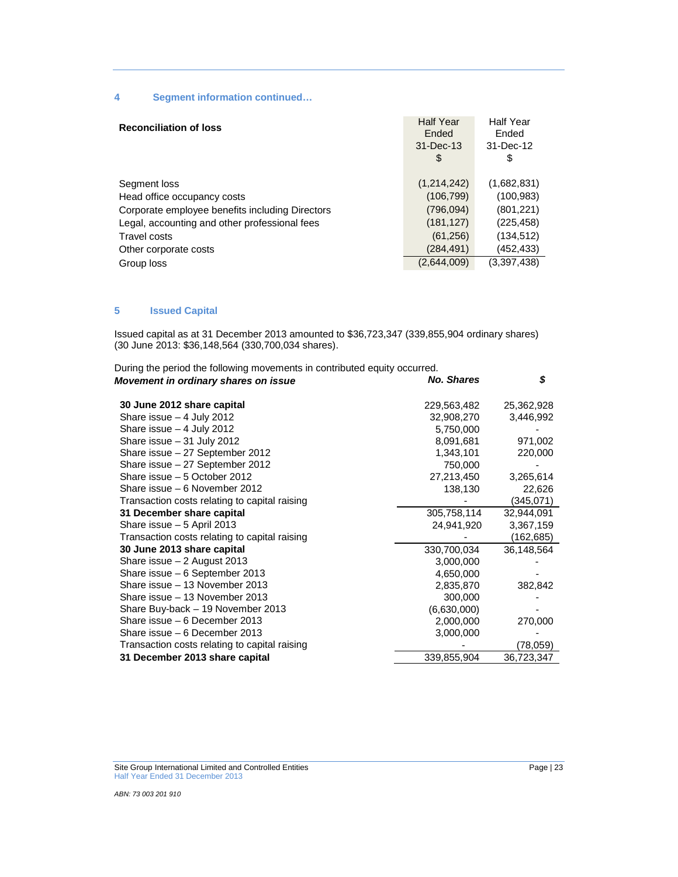## **4 Segment information continued…**

| <b>Reconciliation of loss</b>                                                                                                                                                            | <b>Half Year</b><br>Ended<br>$31 - Dec-13$<br>\$                                 | <b>Half Year</b><br>Ended<br>31-Dec-12<br>\$                                     |
|------------------------------------------------------------------------------------------------------------------------------------------------------------------------------------------|----------------------------------------------------------------------------------|----------------------------------------------------------------------------------|
| Segment loss<br>Head office occupancy costs<br>Corporate employee benefits including Directors<br>Legal, accounting and other professional fees<br>Travel costs<br>Other corporate costs | (1,214,242)<br>(106, 799)<br>(796, 094)<br>(181, 127)<br>(61, 256)<br>(284, 491) | (1,682,831)<br>(100, 983)<br>(801, 221)<br>(225, 458)<br>(134, 512)<br>(452,433) |
| Group loss                                                                                                                                                                               | (2,644,009)                                                                      | (3,397,438)                                                                      |

## **5 Issued Capital**

Issued capital as at 31 December 2013 amounted to \$36,723,347 (339,855,904 ordinary shares) (30 June 2013: \$36,148,564 (330,700,034 shares).

| During the period the following movements in contributed equity occurred. |                   |            |
|---------------------------------------------------------------------------|-------------------|------------|
| Movement in ordinary shares on issue                                      | <b>No. Shares</b> | \$         |
| 30 June 2012 share capital                                                | 229,563,482       | 25,362,928 |
| Share issue $-4$ July 2012                                                | 32,908,270        | 3,446,992  |
| Share issue $-4$ July 2012                                                | 5,750,000         |            |
| Share issue - 31 July 2012                                                | 8,091,681         | 971,002    |
| Share issue - 27 September 2012                                           | 1,343,101         | 220,000    |
| Share issue - 27 September 2012                                           | 750,000           |            |
| Share issue - 5 October 2012                                              | 27,213,450        | 3,265,614  |
| Share issue - 6 November 2012                                             | 138,130           | 22,626     |
| Transaction costs relating to capital raising                             |                   | (345,071)  |
| 31 December share capital                                                 | 305,758,114       | 32,944,091 |
| Share issue - 5 April 2013                                                | 24,941,920        | 3,367,159  |
| Transaction costs relating to capital raising                             |                   | (162,685)  |
| 30 June 2013 share capital                                                | 330,700,034       | 36,148,564 |
| Share issue $-2$ August 2013                                              | 3,000,000         |            |
| Share issue - 6 September 2013                                            | 4,650,000         |            |
| Share issue - 13 November 2013                                            | 2,835,870         | 382,842    |
| Share issue - 13 November 2013                                            | 300,000           |            |
| Share Buy-back - 19 November 2013                                         | (6,630,000)       |            |
| Share issue - 6 December 2013                                             | 2,000,000         | 270,000    |
| Share issue - 6 December 2013                                             | 3,000,000         |            |
| Transaction costs relating to capital raising                             |                   | (78, 059)  |
| 31 December 2013 share capital                                            | 339,855,904       | 36,723,347 |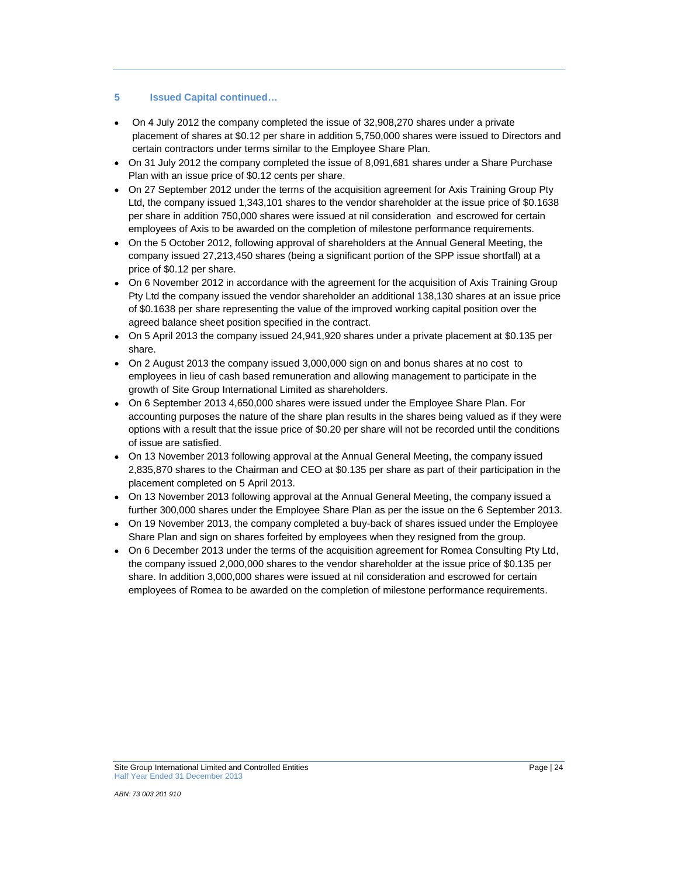## **5 Issued Capital continued…**

- On 4 July 2012 the company completed the issue of 32,908,270 shares under a private placement of shares at \$0.12 per share in addition 5,750,000 shares were issued to Directors and certain contractors under terms similar to the Employee Share Plan.
- On 31 July 2012 the company completed the issue of 8,091,681 shares under a Share Purchase Plan with an issue price of \$0.12 cents per share.
- On 27 September 2012 under the terms of the acquisition agreement for Axis Training Group Pty Ltd, the company issued 1,343,101 shares to the vendor shareholder at the issue price of \$0.1638 per share in addition 750,000 shares were issued at nil consideration and escrowed for certain employees of Axis to be awarded on the completion of milestone performance requirements.
- On the 5 October 2012, following approval of shareholders at the Annual General Meeting, the company issued 27,213,450 shares (being a significant portion of the SPP issue shortfall) at a price of \$0.12 per share.
- On 6 November 2012 in accordance with the agreement for the acquisition of Axis Training Group Pty Ltd the company issued the vendor shareholder an additional 138,130 shares at an issue price of \$0.1638 per share representing the value of the improved working capital position over the agreed balance sheet position specified in the contract.
- On 5 April 2013 the company issued 24,941,920 shares under a private placement at \$0.135 per share.
- On 2 August 2013 the company issued 3,000,000 sign on and bonus shares at no cost to employees in lieu of cash based remuneration and allowing management to participate in the growth of Site Group International Limited as shareholders.
- On 6 September 2013 4,650,000 shares were issued under the Employee Share Plan. For accounting purposes the nature of the share plan results in the shares being valued as if they were options with a result that the issue price of \$0.20 per share will not be recorded until the conditions of issue are satisfied.
- On 13 November 2013 following approval at the Annual General Meeting, the company issued 2,835,870 shares to the Chairman and CEO at \$0.135 per share as part of their participation in the placement completed on 5 April 2013.
- On 13 November 2013 following approval at the Annual General Meeting, the company issued a further 300,000 shares under the Employee Share Plan as per the issue on the 6 September 2013.
- On 19 November 2013, the company completed a buy-back of shares issued under the Employee Share Plan and sign on shares forfeited by employees when they resigned from the group.
- On 6 December 2013 under the terms of the acquisition agreement for Romea Consulting Pty Ltd, the company issued 2,000,000 shares to the vendor shareholder at the issue price of \$0.135 per share. In addition 3,000,000 shares were issued at nil consideration and escrowed for certain employees of Romea to be awarded on the completion of milestone performance requirements.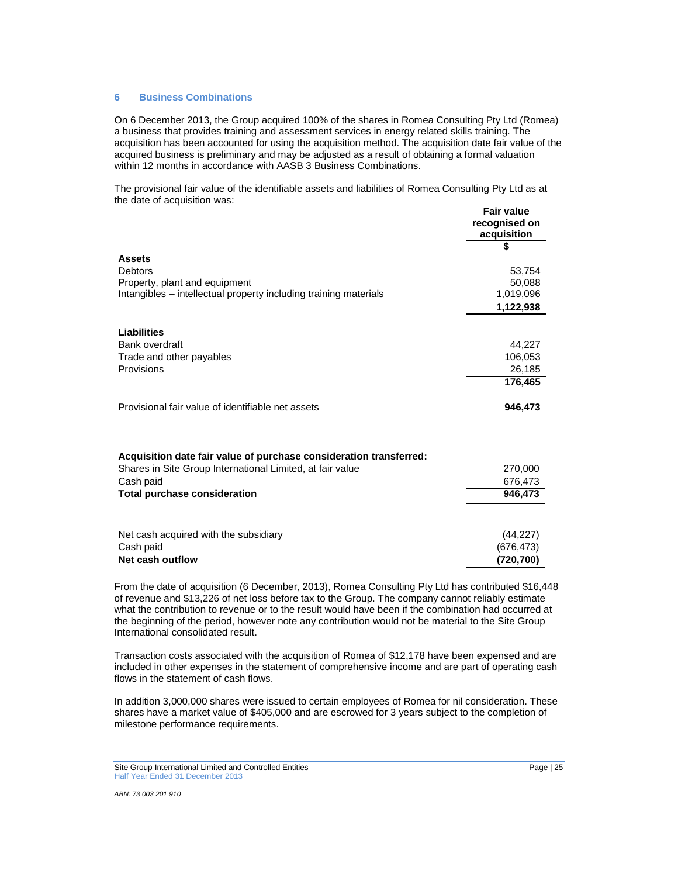### **6 Business Combinations**

On 6 December 2013, the Group acquired 100% of the shares in Romea Consulting Pty Ltd (Romea) a business that provides training and assessment services in energy related skills training. The acquisition has been accounted for using the acquisition method. The acquisition date fair value of the acquired business is preliminary and may be adjusted as a result of obtaining a formal valuation within 12 months in accordance with AASB 3 Business Combinations.

The provisional fair value of the identifiable assets and liabilities of Romea Consulting Pty Ltd as at the date of acquisition was: **Fair value** 

|                                                                                                   | recognised on<br>acquisition |
|---------------------------------------------------------------------------------------------------|------------------------------|
|                                                                                                   |                              |
| <b>Assets</b>                                                                                     |                              |
| <b>Debtors</b>                                                                                    | 53,754                       |
| Property, plant and equipment<br>Intangibles – intellectual property including training materials | 50,088<br>1,019,096          |
|                                                                                                   | 1,122,938                    |
|                                                                                                   |                              |
| <b>Liabilities</b>                                                                                |                              |
| <b>Bank overdraft</b>                                                                             | 44,227                       |
| Trade and other payables                                                                          | 106,053                      |
| Provisions                                                                                        | 26,185                       |
|                                                                                                   | 176,465                      |
| Provisional fair value of identifiable net assets                                                 | 946,473                      |
|                                                                                                   |                              |
|                                                                                                   |                              |
|                                                                                                   |                              |
| Acquisition date fair value of purchase consideration transferred:                                |                              |
| Shares in Site Group International Limited, at fair value                                         | 270,000                      |
| Cash paid                                                                                         | 676,473                      |
| <b>Total purchase consideration</b>                                                               | 946,473                      |
|                                                                                                   |                              |
| Net cash acquired with the subsidiary                                                             | (44, 227)                    |
| Cash paid                                                                                         | (676,473)                    |
| Net cash outflow                                                                                  | (720, 700)                   |

From the date of acquisition (6 December, 2013), Romea Consulting Pty Ltd has contributed \$16,448 of revenue and \$13,226 of net loss before tax to the Group. The company cannot reliably estimate what the contribution to revenue or to the result would have been if the combination had occurred at the beginning of the period, however note any contribution would not be material to the Site Group International consolidated result.

Transaction costs associated with the acquisition of Romea of \$12,178 have been expensed and are included in other expenses in the statement of comprehensive income and are part of operating cash flows in the statement of cash flows.

In addition 3,000,000 shares were issued to certain employees of Romea for nil consideration. These shares have a market value of \$405,000 and are escrowed for 3 years subject to the completion of milestone performance requirements.

Site Group International Limited and Controlled Entities **Page | 25**<br>
Page | 25 Half Year Ended 31 December 2013